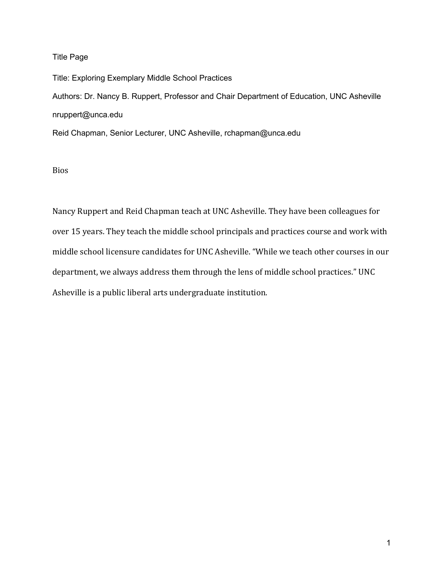## Title Page

Title: Exploring Exemplary Middle School Practices Authors: Dr. Nancy B. Ruppert, Professor and Chair Department of Education, UNC Asheville nruppert@unca.edu Reid Chapman, Senior Lecturer, UNC Asheville, rchapman@unca.edu

Bios

Nancy Ruppert and Reid Chapman teach at UNC Asheville. They have been colleagues for over 15 years. They teach the middle school principals and practices course and work with middle school licensure candidates for UNC Asheville. "While we teach other courses in our department, we always address them through the lens of middle school practices." UNC Asheville is a public liberal arts undergraduate institution.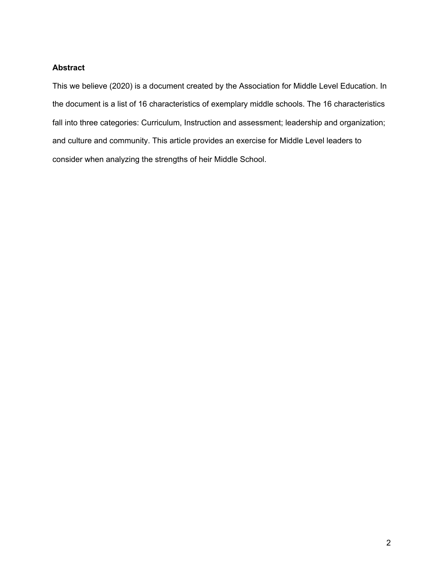## **Abstract**

This we believe (2020) is a document created by the Association for Middle Level Education. In the document is a list of 16 characteristics of exemplary middle schools. The 16 characteristics fall into three categories: Curriculum, Instruction and assessment; leadership and organization; and culture and community. This article provides an exercise for Middle Level leaders to consider when analyzing the strengths of heir Middle School.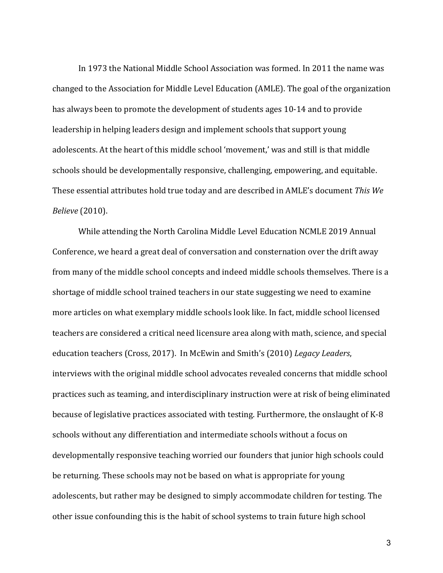In 1973 the National Middle School Association was formed. In 2011 the name was changed to the Association for Middle Level Education (AMLE). The goal of the organization has always been to promote the development of students ages 10-14 and to provide leadership in helping leaders design and implement schools that support young adolescents. At the heart of this middle school 'movement,' was and still is that middle schools should be developmentally responsive, challenging, empowering, and equitable. These essential attributes hold true today and are described in AMLE's document This We *Believe* (2010).

While attending the North Carolina Middle Level Education NCMLE 2019 Annual Conference, we heard a great deal of conversation and consternation over the drift away from many of the middle school concepts and indeed middle schools themselves. There is a shortage of middle school trained teachers in our state suggesting we need to examine more articles on what exemplary middle schools look like. In fact, middle school licensed teachers are considered a critical need licensure area along with math, science, and special education teachers (Cross, 2017). In McEwin and Smith's (2010) *Legacy Leaders*, interviews with the original middle school advocates revealed concerns that middle school practices such as teaming, and interdisciplinary instruction were at risk of being eliminated because of legislative practices associated with testing. Furthermore, the onslaught of K-8 schools without any differentiation and intermediate schools without a focus on developmentally responsive teaching worried our founders that junior high schools could be returning. These schools may not be based on what is appropriate for young adolescents, but rather may be designed to simply accommodate children for testing. The other issue confounding this is the habit of school systems to train future high school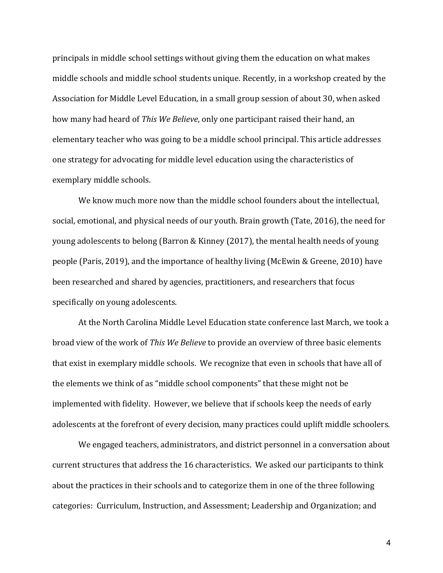principals in middle school settings without giving them the education on what makes middle schools and middle school students unique. Recently, in a workshop created by the Association for Middle Level Education, in a small group session of about 30, when asked how many had heard of This We Believe, only one participant raised their hand, an elementary teacher who was going to be a middle school principal. This article addresses one strategy for advocating for middle level education using the characteristics of exemplary middle schools.

We know much more now than the middle school founders about the intellectual, social, emotional, and physical needs of our youth. Brain growth (Tate, 2016), the need for young adolescents to belong (Barron & Kinney (2017), the mental health needs of young people (Paris, 2019), and the importance of healthy living (McEwin & Greene, 2010) have been researched and shared by agencies, practitioners, and researchers that focus specifically on young adolescents.

At the North Carolina Middle Level Education state conference last March, we took a broad view of the work of *This We Believe* to provide an overview of three basic elements that exist in exemplary middle schools. We recognize that even in schools that have all of the elements we think of as "middle school components" that these might not be implemented with fidelity. However, we believe that if schools keep the needs of early adolescents at the forefront of every decision, many practices could uplift middle schoolers.

We engaged teachers, administrators, and district personnel in a conversation about current structures that address the 16 characteristics. We asked our participants to think about the practices in their schools and to categorize them in one of the three following categories: Curriculum, Instruction, and Assessment; Leadership and Organization; and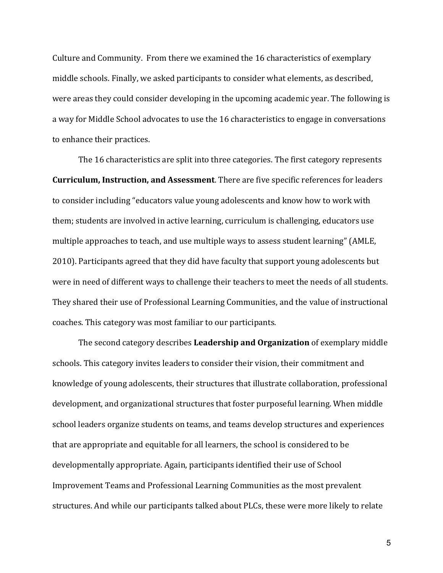Culture and Community. From there we examined the 16 characteristics of exemplary middle schools. Finally, we asked participants to consider what elements, as described, were areas they could consider developing in the upcoming academic year. The following is a way for Middle School advocates to use the 16 characteristics to engage in conversations to enhance their practices.

The 16 characteristics are split into three categories. The first category represents **Curriculum, Instruction, and Assessment**. There are five specific references for leaders to consider including "educators value young adolescents and know how to work with them; students are involved in active learning, curriculum is challenging, educators use multiple approaches to teach, and use multiple ways to assess student learning" (AMLE, 2010). Participants agreed that they did have faculty that support young adolescents but were in need of different ways to challenge their teachers to meet the needs of all students. They shared their use of Professional Learning Communities, and the value of instructional coaches. This category was most familiar to our participants.

The second category describes Leadership and Organization of exemplary middle schools. This category invites leaders to consider their vision, their commitment and knowledge of young adolescents, their structures that illustrate collaboration, professional development, and organizational structures that foster purposeful learning. When middle school leaders organize students on teams, and teams develop structures and experiences that are appropriate and equitable for all learners, the school is considered to be developmentally appropriate. Again, participants identified their use of School Improvement Teams and Professional Learning Communities as the most prevalent structures. And while our participants talked about PLCs, these were more likely to relate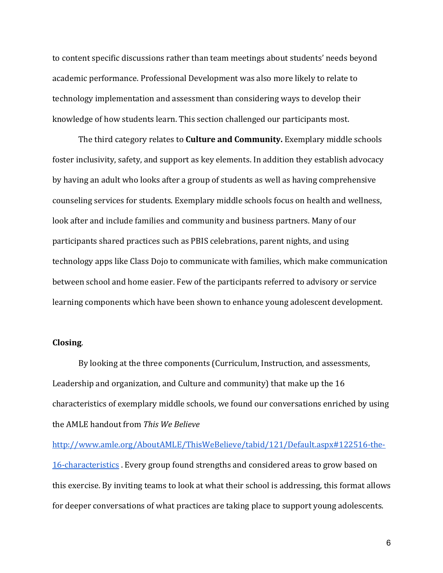to content specific discussions rather than team meetings about students' needs beyond academic performance. Professional Development was also more likely to relate to technology implementation and assessment than considering ways to develop their knowledge of how students learn. This section challenged our participants most.

The third category relates to **Culture and Community.** Exemplary middle schools foster inclusivity, safety, and support as key elements. In addition they establish advocacy by having an adult who looks after a group of students as well as having comprehensive counseling services for students. Exemplary middle schools focus on health and wellness, look after and include families and community and business partners. Many of our participants shared practices such as PBIS celebrations, parent nights, and using technology apps like Class Dojo to communicate with families, which make communication between school and home easier. Few of the participants referred to advisory or service learning components which have been shown to enhance young adolescent development.

# **Closing**.

By looking at the three components (Curriculum, Instruction, and assessments, Leadership and organization, and Culture and community) that make up the 16 characteristics of exemplary middle schools, we found our conversations enriched by using the AMLE handout from This We Believe

http://www.amle.org/AboutAMLE/ThisWeBelieve/tabid/121/Default.aspx#122516-the-16-characteristics. Every group found strengths and considered areas to grow based on this exercise. By inviting teams to look at what their school is addressing, this format allows for deeper conversations of what practices are taking place to support young adolescents.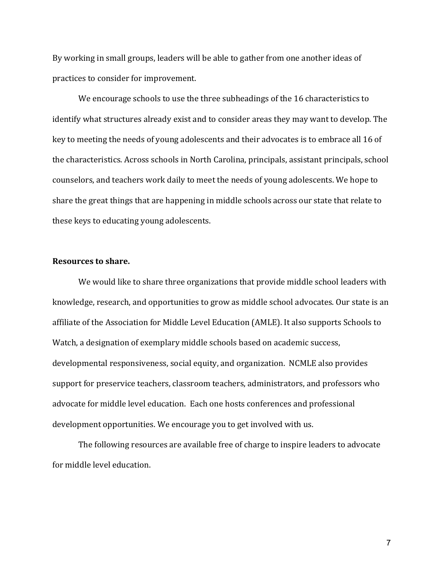By working in small groups, leaders will be able to gather from one another ideas of practices to consider for improvement.

We encourage schools to use the three subheadings of the 16 characteristics to identify what structures already exist and to consider areas they may want to develop. The key to meeting the needs of young adolescents and their advocates is to embrace all 16 of the characteristics. Across schools in North Carolina, principals, assistant principals, school counselors, and teachers work daily to meet the needs of young adolescents. We hope to share the great things that are happening in middle schools across our state that relate to these keys to educating young adolescents.

#### **Resources to share.**

We would like to share three organizations that provide middle school leaders with knowledge, research, and opportunities to grow as middle school advocates. Our state is an affiliate of the Association for Middle Level Education (AMLE). It also supports Schools to Watch, a designation of exemplary middle schools based on academic success, developmental responsiveness, social equity, and organization. NCMLE also provides support for preservice teachers, classroom teachers, administrators, and professors who advocate for middle level education. Each one hosts conferences and professional development opportunities. We encourage you to get involved with us.

The following resources are available free of charge to inspire leaders to advocate for middle level education.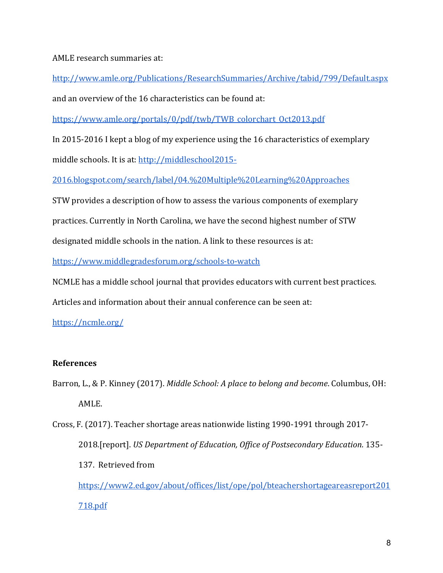AMLE research summaries at:

http://www.amle.org/Publications/ResearchSummaries/Archive/tabid/799/Default.aspx 

and an overview of the 16 characteristics can be found at:

https://www.amle.org/portals/0/pdf/twb/TWB\_colorchart\_Oct2013.pdf

In 2015-2016 I kept a blog of my experience using the 16 characteristics of exemplary middle schools. It is at: http://middleschool2015-

2016.blogspot.com/search/label/04.%20Multiple%20Learning%20Approaches

STW provides a description of how to assess the various components of exemplary

practices. Currently in North Carolina, we have the second highest number of STW

designated middle schools in the nation. A link to these resources is at:

https://www.middlegradesforum.org/schools-to-watch

NCMLE has a middle school journal that provides educators with current best practices.

Articles and information about their annual conference can be seen at:

https://ncmle.org/

# **References**

Barron, L., & P. Kinney (2017). *Middle School: A place to belong and become*. Columbus, OH: AMLE.

Cross, F. (2017). Teacher shortage areas nationwide listing 1990-1991 through 2017-2018.[report]. *US Department of Education, Office of Postsecondary Education.* 135-137. Retrieved from https://www2.ed.gov/about/offices/list/ope/pol/bteachershortageareasreport201 718.pdf